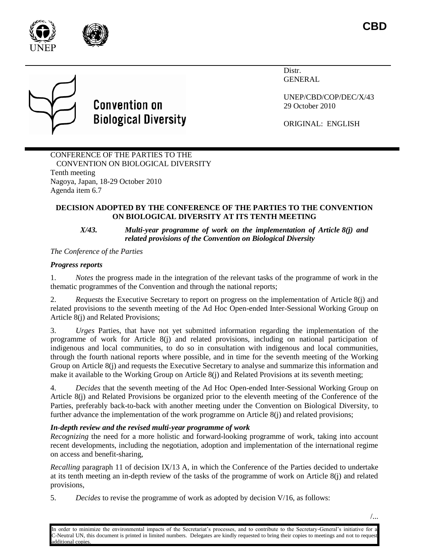



# **Convention on Biological Diversity**

Distr. GENERAL

UNEP/CBD/COP/DEC/X/43 29 October 2010

ORIGINAL: ENGLISH

# CONFERENCE OF THE PARTIES TO THE CONVENTION ON BIOLOGICAL DIVERSITY Tenth meeting Nagoya, Japan, 18-29 October 2010 Agenda item 6.7

# **DECISION ADOPTED BY THE CONFERENCE OF THE PARTIES TO THE CONVENTION ON BIOLOGICAL DIVERSITY AT ITS TENTH MEETING**

#### *X/43. Multi-year programme of work on the implementation of Article 8(j) and related provisions of the Convention on Biological Diversity*

*The Conference of the Parties* 

# *Progress reports*

1. *Notes* the progress made in the integration of the relevant tasks of the programme of work in the thematic programmes of the Convention and through the national reports;

2. *Requests* the Executive Secretary to report on progress on the implementation of Article 8(j) and related provisions to the seventh meeting of the Ad Hoc Open-ended Inter-Sessional Working Group on Article 8(j) and Related Provisions;

3. *Urges* Parties, that have not yet submitted information regarding the implementation of the programme of work for Article 8(j) and related provisions, including on national participation of indigenous and local communities, to do so in consultation with indigenous and local communities, through the fourth national reports where possible, and in time for the seventh meeting of the Working Group on Article 8(j) and requests the Executive Secretary to analyse and summarize this information and make it available to the Working Group on Article 8(j) and Related Provisions at its seventh meeting;

4. *Decides* that the seventh meeting of the Ad Hoc Open-ended Inter-Sessional Working Group on Article 8(j) and Related Provisions be organized prior to the eleventh meeting of the Conference of the Parties, preferably back-to-back with another meeting under the Convention on Biological Diversity, to further advance the implementation of the work programme on Article 8(j) and related provisions;

# *In-depth review and the revised multi-year programme of work*

*Recognizing* the need for a more holistic and forward-looking programme of work, taking into account recent developments, including the negotiation, adoption and implementation of the international regime on access and benefit-sharing,

*Recalling* paragraph 11 of decision IX/13 A, in which the Conference of the Parties decided to undertake at its tenth meeting an in-depth review of the tasks of the programme of work on Article 8(j) and related provisions,

5. *Decides* to revise the programme of work as adopted by decision V/16, as follows: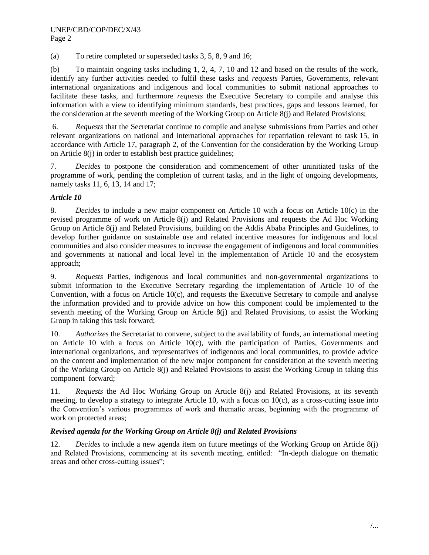(a) To retire completed or superseded tasks 3, 5, 8, 9 and 16;

(b) To maintain ongoing tasks including 1, 2, 4, 7, 10 and 12 and based on the results of the work, identify any further activities needed to fulfil these tasks and *requests* Parties, Governments, relevant international organizations and indigenous and local communities to submit national approaches to facilitate these tasks, and furthermore *requests* the Executive Secretary to compile and analyse this information with a view to identifying minimum standards, best practices, gaps and lessons learned, for the consideration at the seventh meeting of the Working Group on Article 8(j) and Related Provisions;

6. *Requests* that the Secretariat continue to compile and analyse submissions from Parties and other relevant organizations on national and international approaches for repatriation relevant to task 15, in accordance with Article 17, paragraph 2, of the Convention for the consideration by the Working Group on Article 8(j) in order to establish best practice guidelines;

7. *Decides* to postpone the consideration and commencement of other uninitiated tasks of the programme of work, pending the completion of current tasks, and in the light of ongoing developments, namely tasks 11, 6, 13, 14 and 17;

# *Article 10*

8. *Decides* to include a new major component on Article 10 with a focus on Article 10(c) in the revised programme of work on Article 8(j) and Related Provisions and requests the Ad Hoc Working Group on Article 8(j) and Related Provisions, building on the Addis Ababa Principles and Guidelines, to develop further guidance on sustainable use and related incentive measures for indigenous and local communities and also consider measures to increase the engagement of indigenous and local communities and governments at national and local level in the implementation of Article 10 and the ecosystem approach;

9. *Requests* Parties, indigenous and local communities and non-governmental organizations to submit information to the Executive Secretary regarding the implementation of Article 10 of the Convention, with a focus on Article 10(c), and requests the Executive Secretary to compile and analyse the information provided and to provide advice on how this component could be implemented to the seventh meeting of the Working Group on Article 8(j) and Related Provisions, to assist the Working Group in taking this task forward;

10. *Authorizes* the Secretariat to convene, subject to the availability of funds, an international meeting on Article 10 with a focus on Article 10(c), with the participation of Parties, Governments and international organizations, and representatives of indigenous and local communities, to provide advice on the content and implementation of the new major component for consideration at the seventh meeting of the Working Group on Article 8(j) and Related Provisions to assist the Working Group in taking this component forward;

11. *Requests* the Ad Hoc Working Group on Article 8(j) and Related Provisions, at its seventh meeting, to develop a strategy to integrate Article 10, with a focus on  $10(c)$ , as a cross-cutting issue into the Convention's various programmes of work and thematic areas, beginning with the programme of work on protected areas;

#### *Revised agenda for the Working Group on Article 8(j) and Related Provisions*

12. *Decides* to include a new agenda item on future meetings of the Working Group on Article 8(j) and Related Provisions, commencing at its seventh meeting, entitled: "In-depth dialogue on thematic areas and other cross-cutting issues";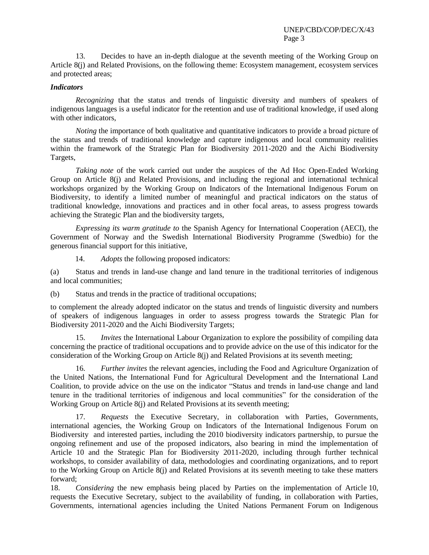13. Decides to have an in-depth dialogue at the seventh meeting of the Working Group on Article 8(j) and Related Provisions, on the following theme: Ecosystem management, ecosystem services and protected areas;

#### *Indicators*

*Recognizing* that the status and trends of linguistic diversity and numbers of speakers of indigenous languages is a useful indicator for the retention and use of traditional knowledge, if used along with other indicators,

*Noting* the importance of both qualitative and quantitative indicators to provide a broad picture of the status and trends of traditional knowledge and capture indigenous and local community realities within the framework of the Strategic Plan for Biodiversity 2011-2020 and the Aichi Biodiversity Targets,

*Taking note* of the work carried out under the auspices of the Ad Hoc Open-Ended Working Group on Article 8(j) and Related Provisions, and including the regional and international technical workshops organized by the Working Group on Indicators of the International Indigenous Forum on Biodiversity, to identify a limited number of meaningful and practical indicators on the status of traditional knowledge, innovations and practices and in other focal areas, to assess progress towards achieving the Strategic Plan and the biodiversity targets,

*Expressing its warm gratitude to* the Spanish Agency for International Cooperation (AECI), the Government of Norway and the Swedish International Biodiversity Programme (Swedbio) for the generous financial support for this initiative,

14. *Adopts* the following proposed indicators:

(a) Status and trends in land-use change and land tenure in the traditional territories of indigenous and local communities;

(b) Status and trends in the practice of traditional occupations;

to complement the already adopted indicator on the status and trends of linguistic diversity and numbers of speakers of indigenous languages in order to assess progress towards the Strategic Plan for Biodiversity 2011-2020 and the Aichi Biodiversity Targets;

15. *Invites* the International Labour Organization to explore the possibility of compiling data concerning the practice of traditional occupations and to provide advice on the use of this indicator for the consideration of the Working Group on Article 8(j) and Related Provisions at its seventh meeting;

16. *Further invites* the relevant agencies, including the Food and Agriculture Organization of the United Nations, the International Fund for Agricultural Development and the International Land Coalition, to provide advice on the use on the indicator "Status and trends in land-use change and land tenure in the traditional territories of indigenous and local communities" for the consideration of the Working Group on Article 8(j) and Related Provisions at its seventh meeting;

17. *Requests* the Executive Secretary, in collaboration with Parties, Governments, international agencies, the Working Group on Indicators of the International Indigenous Forum on Biodiversity and interested parties, including the 2010 biodiversity indicators partnership, to pursue the ongoing refinement and use of the proposed indicators, also bearing in mind the implementation of Article 10 and the Strategic Plan for Biodiversity 2011-2020, including through further technical workshops, to consider availability of data, methodologies and coordinating organizations, and to report to the Working Group on Article 8(j) and Related Provisions at its seventh meeting to take these matters forward;

18. *Considering* the new emphasis being placed by Parties on the implementation of Article 10, requests the Executive Secretary, subject to the availability of funding, in collaboration with Parties, Governments, international agencies including the United Nations Permanent Forum on Indigenous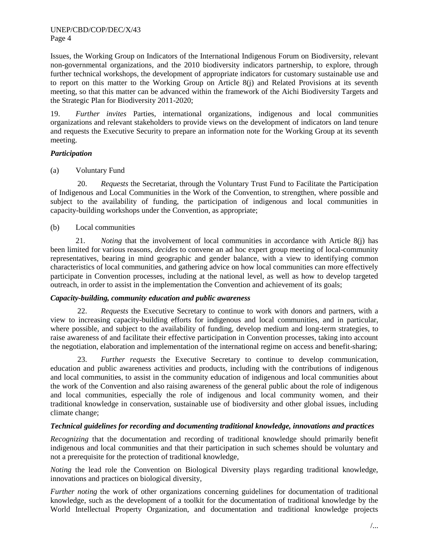Issues, the Working Group on Indicators of the International Indigenous Forum on Biodiversity, relevant non-governmental organizations, and the 2010 biodiversity indicators partnership, to explore, through further technical workshops, the development of appropriate indicators for customary sustainable use and to report on this matter to the Working Group on Article 8(j) and Related Provisions at its seventh meeting, so that this matter can be advanced within the framework of the Aichi Biodiversity Targets and the Strategic Plan for Biodiversity 2011-2020;

19. *Further invites* Parties, international organizations, indigenous and local communities organizations and relevant stakeholders to provide views on the development of indicators on land tenure and requests the Executive Security to prepare an information note for the Working Group at its seventh meeting.

# *Participation*

(a) Voluntary Fund

20. *Requests* the Secretariat, through the Voluntary Trust Fund to Facilitate the Participation of Indigenous and Local Communities in the Work of the Convention, to strengthen, where possible and subject to the availability of funding, the participation of indigenous and local communities in capacity-building workshops under the Convention, as appropriate;

# (b) Local communities

21. *Noting* that the involvement of local communities in accordance with Article 8(j) has been limited for various reasons, *decides* to convene an ad hoc expert group meeting of local-community representatives, bearing in mind geographic and gender balance, with a view to identifying common characteristics of local communities, and gathering advice on how local communities can more effectively participate in Convention processes, including at the national level, as well as how to develop targeted outreach, in order to assist in the implementation the Convention and achievement of its goals;

#### *Capacity-building, community education and public awareness*

22. *Requests* the Executive Secretary to continue to work with donors and partners, with a view to increasing capacity-building efforts for indigenous and local communities, and in particular, where possible, and subject to the availability of funding, develop medium and long-term strategies, to raise awareness of and facilitate their effective participation in Convention processes, taking into account the negotiation, elaboration and implementation of the international regime on access and benefit-sharing;

23. *Further requests* the Executive Secretary to continue to develop communication, education and public awareness activities and products, including with the contributions of indigenous and local communities, to assist in the community education of indigenous and local communities about the work of the Convention and also raising awareness of the general public about the role of indigenous and local communities, especially the role of indigenous and local community women, and their traditional knowledge in conservation, sustainable use of biodiversity and other global issues, including climate change;

## *Technical guidelines for recording and documenting traditional knowledge, innovations and practices*

*Recognizing* that the documentation and recording of traditional knowledge should primarily benefit indigenous and local communities and that their participation in such schemes should be voluntary and not a prerequisite for the protection of traditional knowledge,

*Noting* the lead role the Convention on Biological Diversity plays regarding traditional knowledge, innovations and practices on biological diversity,

*Further noting* the work of other organizations concerning guidelines for documentation of traditional knowledge, such as the development of a toolkit for the documentation of traditional knowledge by the World Intellectual Property Organization, and documentation and traditional knowledge projects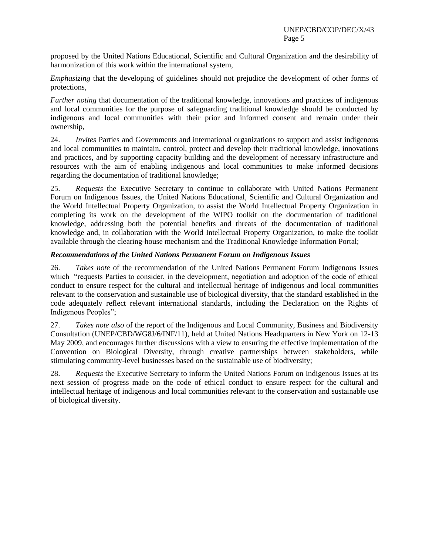proposed by the United Nations Educational, Scientific and Cultural Organization and the desirability of harmonization of this work within the international system,

*Emphasizing* that the developing of guidelines should not prejudice the development of other forms of protections,

*Further noting* that documentation of the traditional knowledge, innovations and practices of indigenous and local communities for the purpose of safeguarding traditional knowledge should be conducted by indigenous and local communities with their prior and informed consent and remain under their ownership,

24. *Invites* Parties and Governments and international organizations to support and assist indigenous and local communities to maintain, control, protect and develop their traditional knowledge, innovations and practices, and by supporting capacity building and the development of necessary infrastructure and resources with the aim of enabling indigenous and local communities to make informed decisions regarding the documentation of traditional knowledge;

25. *Requests* the Executive Secretary to continue to collaborate with United Nations Permanent Forum on Indigenous Issues, the United Nations Educational, Scientific and Cultural Organization and the World Intellectual Property Organization, to assist the World Intellectual Property Organization in completing its work on the development of the WIPO toolkit on the documentation of traditional knowledge, addressing both the potential benefits and threats of the documentation of traditional knowledge and, in collaboration with the World Intellectual Property Organization, to make the toolkit available through the clearing-house mechanism and the Traditional Knowledge Information Portal;

#### *Recommendations of the United Nations Permanent Forum on Indigenous Issues*

26. *Takes note* of the recommendation of the United Nations Permanent Forum Indigenous Issues which "requests Parties to consider, in the development, negotiation and adoption of the code of ethical conduct to ensure respect for the cultural and intellectual heritage of indigenous and local communities relevant to the conservation and sustainable use of biological diversity, that the standard established in the code adequately reflect relevant international standards, including the Declaration on the Rights of Indigenous Peoples";

27. *Takes note also* of the report of the Indigenous and Local Community, Business and Biodiversity Consultation (UNEP/CBD/WG8J/6/INF/11), held at United Nations Headquarters in New York on 12-13 May 2009, and encourages further discussions with a view to ensuring the effective implementation of the Convention on Biological Diversity, through creative partnerships between stakeholders, while stimulating community-level businesses based on the sustainable use of biodiversity;

28. *Requests* the Executive Secretary to inform the United Nations Forum on Indigenous Issues at its next session of progress made on the code of ethical conduct to ensure respect for the cultural and intellectual heritage of indigenous and local communities relevant to the conservation and sustainable use of biological diversity.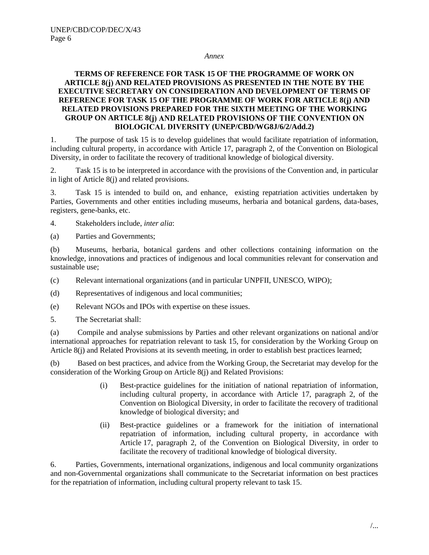#### *Annex*

# **TERMS OF REFERENCE FOR TASK 15 OF THE PROGRAMME OF WORK ON ARTICLE 8 AND RELATED PROVISIONS AS PRESENTED IN THE NOTE BY THE EXECUTIVE SECRETARY ON CONSIDERATION AND DEVELOPMENT OF TERMS OF REFERENCE FOR TASK 15 OF THE PROGRAMME OF WORK FOR ARTICLE 8( ) AND RELATED PROVISIONS PREPARED FOR THE SIXTH MEETING OF THE WORKING GROUP ON ARTICLE 8( (UNEP/CBD/WG8J/6/2/Add.2)**

1. The purpose of task 15 is to develop guidelines that would facilitate repatriation of information, including cultural property, in accordance with Article 17, paragraph 2, of the Convention on Biological Diversity, in order to facilitate the recovery of traditional knowledge of biological diversity.

2. Task 15 is to be interpreted in accordance with the provisions of the Convention and, in particular in light of Article 8(j) and related provisions.

3. Task 15 is intended to build on, and enhance, existing repatriation activities undertaken by Parties, Governments and other entities including museums, herbaria and botanical gardens, data-bases, registers, gene-banks, etc.

4. Stakeholders include, *inter alia*:

(a) Parties and Governments;

(b) Museums, herbaria, botanical gardens and other collections containing information on the knowledge, innovations and practices of indigenous and local communities relevant for conservation and sustainable use;

(c) Relevant international organizations (and in particular UNPFII, UNESCO, WIPO);

- (d) Representatives of indigenous and local communities;
- (e) Relevant NGOs and IPOs with expertise on these issues.
- 5. The Secretariat shall:

(a) Compile and analyse submissions by Parties and other relevant organizations on national and/or international approaches for repatriation relevant to task 15, for consideration by the Working Group on Article 8(j) and Related Provisions at its seventh meeting, in order to establish best practices learned;

(b) Based on best practices, and advice from the Working Group, the Secretariat may develop for the consideration of the Working Group on Article 8(j) and Related Provisions:

- (i) Best-practice guidelines for the initiation of national repatriation of information, including cultural property, in accordance with Article 17, paragraph 2, of the Convention on Biological Diversity, in order to facilitate the recovery of traditional knowledge of biological diversity; and
- (ii) Best-practice guidelines or a framework for the initiation of international repatriation of information, including cultural property, in accordance with Article 17, paragraph 2, of the Convention on Biological Diversity, in order to facilitate the recovery of traditional knowledge of biological diversity.

6. Parties, Governments, international organizations, indigenous and local community organizations and non-Governmental organizations shall communicate to the Secretariat information on best practices for the repatriation of information, including cultural property relevant to task 15.